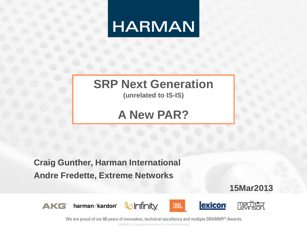

## **SRP Next Generation**

**(unrelated to IS-IS)**

## **A New PAR?**

**Craig Gunther, Harman International Andre Fredette, Extreme Networks**

**15Mar2013**



harman/kardon°









marh<del>tu</del>

We are proud of our 60 years of innovation, technical excellence and multiple GRAMMY® Awards.

GRAMMY is a registered trademark of The Recording Academy.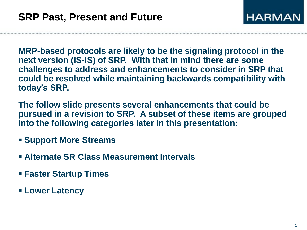**MRP-based protocols are likely to be the signaling protocol in the next version (IS-IS) of SRP. With that in mind there are some challenges to address and enhancements to consider in SRP that could be resolved while maintaining backwards compatibility with today's SRP.**

**The follow slide presents several enhancements that could be pursued in a revision to SRP. A subset of these items are grouped into the following categories later in this presentation:**

- **Support More Streams**
- **Alternate SR Class Measurement Intervals**
- **Faster Startup Times**
- **Lower Latency**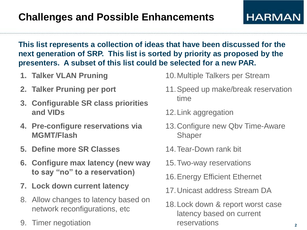**HARMAN** 

#### **This list represents a collection of ideas that have been discussed for the next generation of SRP. This list is sorted by priority as proposed by the presenters. A subset of this list could be selected for a new PAR.**

- **1. Talker VLAN Pruning**
- **2. Talker Pruning per port**
- **3. Configurable SR class priorities and VIDs**
- **4. Pre-configure reservations via MGMT/Flash**
- **5. Define more SR Classes**
- **6. Configure max latency (new way to say "no" to a reservation)**
- **7. Lock down current latency**
- 8. Allow changes to latency based on network reconfigurations, etc
- 9. Timer negotiation
- 10.Multiple Talkers per Stream
- 11.Speed up make/break reservation time
- 12.Link aggregation
- 13.Configure new Qbv Time-Aware Shaper
- 14.Tear-Down rank bit
- 15.Two-way reservations
- 16.Energy Efficient Ethernet
- 17.Unicast address Stream DA
- 18.Lock down & report worst case latency based on current reservations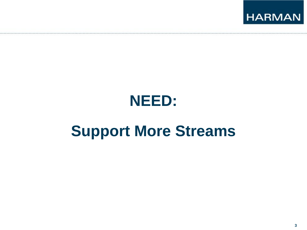

# **Support More Streams**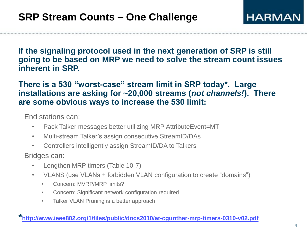**If the signaling protocol used in the next generation of SRP is still going to be based on MRP we need to solve the stream count issues inherent in SRP.**

#### **There is a 530 "worst-case" stream limit in SRP today\*. Large installations are asking for ~20,000 streams (***not channels!***). There are some obvious ways to increase the 530 limit:**

End stations can:

- Pack Talker messages better utilizing MRP AttributeEvent=MT
- Multi-stream Talker's assign consecutive StreamID/DAs
- Controllers intelligently assign StreamID/DA to Talkers

Bridges can:

- Lengthen MRP timers (Table 10-7)
- VLANS (use VLANs + forbidden VLAN configuration to create "domains")
	- Concern: MVRP/MRP limits?
	- Concern: Significant network configuration required
	- Talker VLAN Pruning is a better approach

#### **\*<http://www.ieee802.org/1/files/public/docs2010/at-cgunther-mrp-timers-0310-v02.pdf>**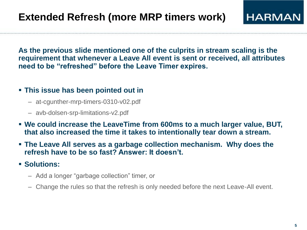**As the previous slide mentioned one of the culprits in stream scaling is the requirement that whenever a Leave All event is sent or received, all attributes need to be "refreshed" before the Leave Timer expires.**

#### **This issue has been pointed out in**

- at-cgunther-mrp-timers-0310-v02.pdf
- avb-dolsen-srp-limitations-v2.pdf
- **We could increase the LeaveTime from 600ms to a much larger value, BUT, that also increased the time it takes to intentionally tear down a stream.**
- **The Leave All serves as a garbage collection mechanism. Why does the refresh have to be so fast? Answer: It doesn't.**
- **Solutions:**
	- Add a longer "garbage collection" timer, or
	- Change the rules so that the refresh is only needed before the next Leave-All event.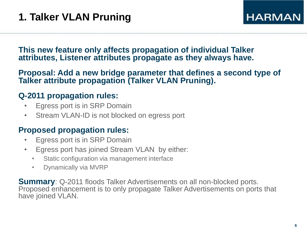#### **This new feature only affects propagation of individual Talker attributes, Listener attributes propagate as they always have.**

#### **Proposal: Add a new bridge parameter that defines a second type of Talker attribute propagation (Talker VLAN Pruning).**

#### **Q-2011 propagation rules:**

- Egress port is in SRP Domain
- Stream VLAN-ID is not blocked on egress port

#### **Proposed propagation rules:**

- Egress port is in SRP Domain
- Egress port has joined Stream VLAN by either:
	- Static configuration via management interface
	- Dynamically via MVRP

**Summary**: Q-2011 floods Talker Advertisements on all non-blocked ports. Proposed enhancement is to only propagate Talker Advertisements on ports that have joined VLAN.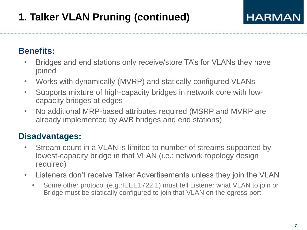## **1. Talker VLAN Pruning (continued)**

#### **Benefits:**

- Bridges and end stations only receive/store TA's for VLANs they have joined
- Works with dynamically (MVRP) and statically configured VLANs
- Supports mixture of high-capacity bridges in network core with lowcapacity bridges at edges
- No additional MRP-based attributes required (MSRP and MVRP are already implemented by AVB bridges and end stations)

- Stream count in a VLAN is limited to number of streams supported by lowest-capacity bridge in that VLAN (i.e.: network topology design required)
- Listeners don't receive Talker Advertisements unless they join the VLAN
	- Some other protocol (e.g.:IEEE1722.1) must tell Listener what VLAN to join or Bridge must be statically configured to join that VLAN on the egress port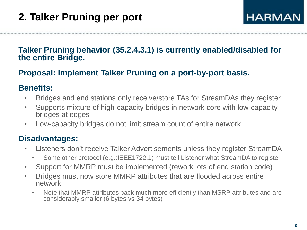#### **Talker Pruning behavior (35.2.4.3.1) is currently enabled/disabled for the entire Bridge.**

#### **Proposal: Implement Talker Pruning on a port-by-port basis.**

#### **Benefits:**

- Bridges and end stations only receive/store TAs for StreamDAs they register
- Supports mixture of high-capacity bridges in network core with low-capacity bridges at edges
- Low-capacity bridges do not limit stream count of entire network

- Listeners don't receive Talker Advertisements unless they register StreamDA
	- Some other protocol (e.g.:IEEE1722.1) must tell Listener what StreamDA to register
- Support for MMRP must be implemented (rework lots of end station code)
- Bridges must now store MMRP attributes that are flooded across entire network
	- Note that MMRP attributes pack much more efficiently than MSRP attributes and are considerably smaller (6 bytes vs 34 bytes)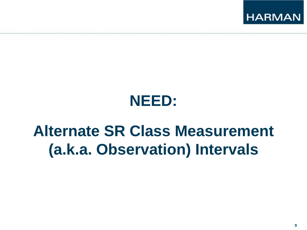

# **Alternate SR Class Measurement (a.k.a. Observation) Intervals**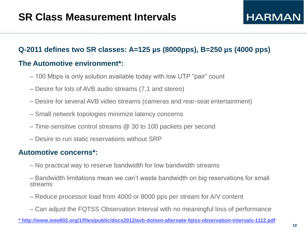### **Q-2011 defines two SR classes: A=125 µs (8000pps), B=250 µs (4000 pps) The Automotive environment\*:**

- 100 Mbps is only solution available today with low UTP "pair" count
- Desire for lots of AVB audio streams (7.1 and stereo)
- Desire for several AVB video streams (cameras and rear-seat entertainment)
- Small network topologies minimize latency concerns
- Time-sensitive control streams @ 30 to 100 packets per second
- Desire to run static reservations without SRP

#### **Automotive concerns\*:**

– No practical way to reserve bandwidth for low bandwidth streams

– Bandwidth limitations mean we can't waste bandwidth on big reservations for small streams

- Reduce processor load from 4000 or 8000 pps per stream for A/V content
- Can adjust the FQTSS Observation Interval with no meaningful loss of performance

**[\\* http://www.ieee802.org/1/files/public/docs2012/avb-dolsen-alternate-fqtss-observation-intervals-1112.pdf](http://www.ieee802.org/1/files/public/docs2012/avb-dolsen-alternate-fqtss-observation-intervals-1112.pdf)**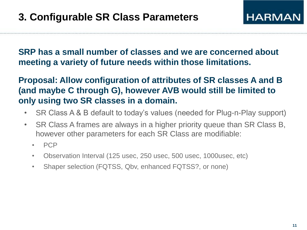#### **SRP has a small number of classes and we are concerned about meeting a variety of future needs within those limitations.**

#### **Proposal: Allow configuration of attributes of SR classes A and B (and maybe C through G), however AVB would still be limited to only using two SR classes in a domain.**

- SR Class A & B default to today's values (needed for Plug-n-Play support)
- SR Class A frames are always in a higher priority queue than SR Class B, however other parameters for each SR Class are modifiable:
	- PCP
	- Observation Interval (125 usec, 250 usec, 500 usec, 1000usec, etc)
	- Shaper selection (FQTSS, Qbv, enhanced FQTSS?, or none)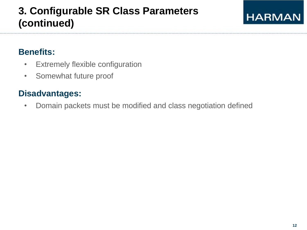### **3. Configurable SR Class Parameters (continued)**

## **HARMAN**

### **Benefits:**

- Extremely flexible configuration
- Somewhat future proof

### **Disadvantages:**

• Domain packets must be modified and class negotiation defined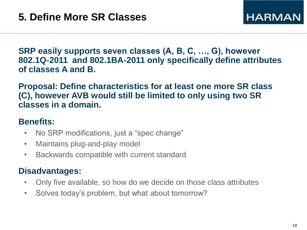**SRP easily supports seven classes (A, B, C, …, G), however 802.1Q-2011 and 802.1BA-2011 only specifically define attributes of classes A and B.**

**Proposal: Define characteristics for at least one more SR class (C), however AVB would still be limited to only using two SR classes in a domain.**

### **Benefits:**

- No SRP modifications, just a "spec change"
- Maintains plug-and-play model
- Backwards compatible with current standard

- Only five available, so how do we decide on those class attributes
- Solves today's problem, but what about tomorrow?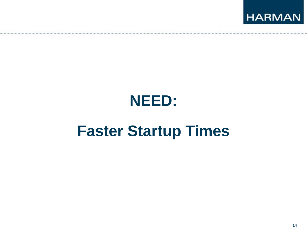

# **Faster Startup Times**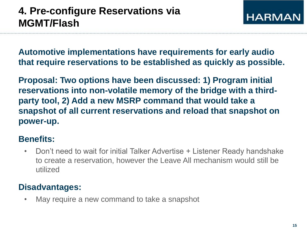**Automotive implementations have requirements for early audio that require reservations to be established as quickly as possible.**

**Proposal: Two options have been discussed: 1) Program initial reservations into non-volatile memory of the bridge with a thirdparty tool, 2) Add a new MSRP command that would take a snapshot of all current reservations and reload that snapshot on power-up.**

### **Benefits:**

• Don't need to wait for initial Talker Advertise + Listener Ready handshake to create a reservation, however the Leave All mechanism would still be utilized

### **Disadvantages:**

• May require a new command to take a snapshot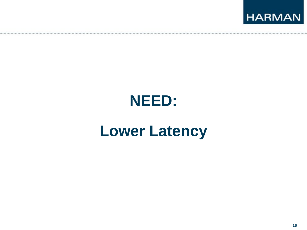

# **Lower Latency**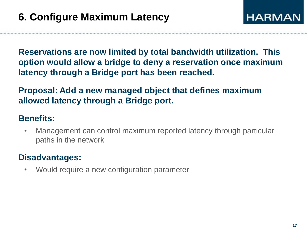**Reservations are now limited by total bandwidth utilization. This option would allow a bridge to deny a reservation once maximum latency through a Bridge port has been reached.**

**Proposal: Add a new managed object that defines maximum allowed latency through a Bridge port.**

#### **Benefits:**

• Management can control maximum reported latency through particular paths in the network

### **Disadvantages:**

• Would require a new configuration parameter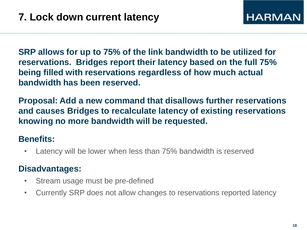**SRP allows for up to 75% of the link bandwidth to be utilized for reservations. Bridges report their latency based on the full 75% being filled with reservations regardless of how much actual bandwidth has been reserved.**

**Proposal: Add a new command that disallows further reservations and causes Bridges to recalculate latency of existing reservations knowing no more bandwidth will be requested.**

### **Benefits:**

Latency will be lower when less than 75% bandwidth is reserved

- Stream usage must be pre-defined
- Currently SRP does not allow changes to reservations reported latency